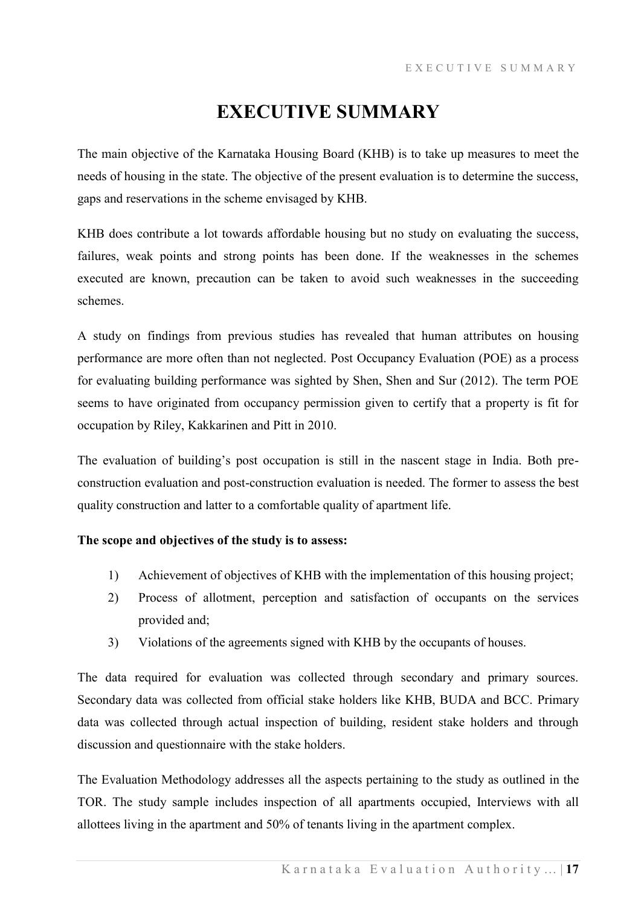# **EXECUTIVE SUMMARY**

The main objective of the Karnataka Housing Board (KHB) is to take up measures to meet the needs of housing in the state. The objective of the present evaluation is to determine the success, gaps and reservations in the scheme envisaged by KHB.

KHB does contribute a lot towards affordable housing but no study on evaluating the success, failures, weak points and strong points has been done. If the weaknesses in the schemes executed are known, precaution can be taken to avoid such weaknesses in the succeeding schemes.

A study on findings from previous studies has revealed that human attributes on housing performance are more often than not neglected. Post Occupancy Evaluation (POE) as a process for evaluating building performance was sighted by Shen, Shen and Sur (2012). The term POE seems to have originated from occupancy permission given to certify that a property is fit for occupation by Riley, Kakkarinen and Pitt in 2010.

The evaluation of building's post occupation is still in the nascent stage in India. Both preconstruction evaluation and post-construction evaluation is needed. The former to assess the best quality construction and latter to a comfortable quality of apartment life.

### **The scope and objectives of the study is to assess:**

- 1) Achievement of objectives of KHB with the implementation of this housing project;
- 2) Process of allotment, perception and satisfaction of occupants on the services provided and;
- 3) Violations of the agreements signed with KHB by the occupants of houses.

The data required for evaluation was collected through secondary and primary sources. Secondary data was collected from official stake holders like KHB, BUDA and BCC. Primary data was collected through actual inspection of building, resident stake holders and through discussion and questionnaire with the stake holders.

The Evaluation Methodology addresses all the aspects pertaining to the study as outlined in the TOR. The study sample includes inspection of all apartments occupied, Interviews with all allottees living in the apartment and 50% of tenants living in the apartment complex.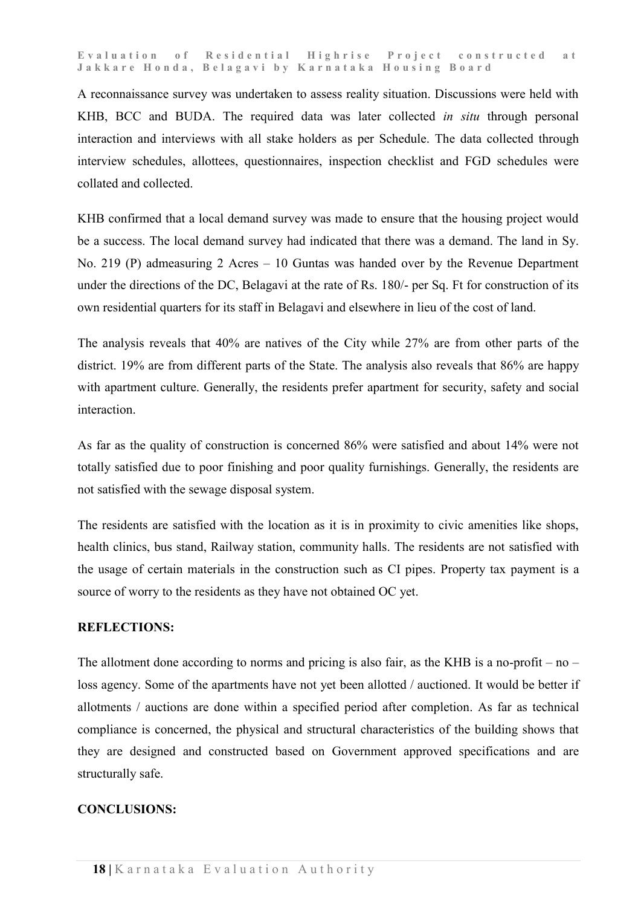**Evaluation of Residential Highrise Project constructed at Jakkare Honda, Belagavi by Karnataka Housing Board**

A reconnaissance survey was undertaken to assess reality situation. Discussions were held with KHB, BCC and BUDA. The required data was later collected *in situ* through personal interaction and interviews with all stake holders as per Schedule. The data collected through interview schedules, allottees, questionnaires, inspection checklist and FGD schedules were collated and collected.

KHB confirmed that a local demand survey was made to ensure that the housing project would be a success. The local demand survey had indicated that there was a demand. The land in Sy. No. 219 (P) admeasuring 2 Acres – 10 Guntas was handed over by the Revenue Department under the directions of the DC, Belagavi at the rate of Rs. 180/- per Sq. Ft for construction of its own residential quarters for its staff in Belagavi and elsewhere in lieu of the cost of land.

The analysis reveals that 40% are natives of the City while 27% are from other parts of the district. 19% are from different parts of the State. The analysis also reveals that 86% are happy with apartment culture. Generally, the residents prefer apartment for security, safety and social interaction.

As far as the quality of construction is concerned 86% were satisfied and about 14% were not totally satisfied due to poor finishing and poor quality furnishings. Generally, the residents are not satisfied with the sewage disposal system.

The residents are satisfied with the location as it is in proximity to civic amenities like shops, health clinics, bus stand, Railway station, community halls. The residents are not satisfied with the usage of certain materials in the construction such as CI pipes. Property tax payment is a source of worry to the residents as they have not obtained OC yet.

#### **REFLECTIONS:**

The allotment done according to norms and pricing is also fair, as the KHB is a no-profit – no – loss agency. Some of the apartments have not yet been allotted / auctioned. It would be better if allotments / auctions are done within a specified period after completion. As far as technical compliance is concerned, the physical and structural characteristics of the building shows that they are designed and constructed based on Government approved specifications and are structurally safe.

#### **CONCLUSIONS:**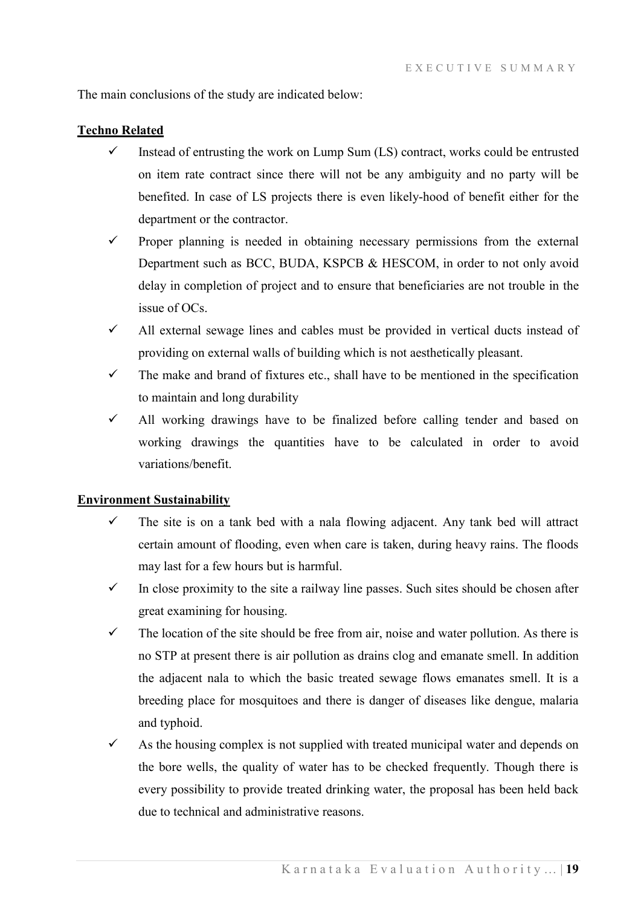The main conclusions of the study are indicated below:

#### **Techno Related**

- $\checkmark$  Instead of entrusting the work on Lump Sum (LS) contract, works could be entrusted on item rate contract since there will not be any ambiguity and no party will be benefited. In case of LS projects there is even likely-hood of benefit either for the department or the contractor.
- $\checkmark$  Proper planning is needed in obtaining necessary permissions from the external Department such as BCC, BUDA, KSPCB & HESCOM, in order to not only avoid delay in completion of project and to ensure that beneficiaries are not trouble in the issue of OCs.
- $\checkmark$  All external sewage lines and cables must be provided in vertical ducts instead of providing on external walls of building which is not aesthetically pleasant.
- $\checkmark$  The make and brand of fixtures etc., shall have to be mentioned in the specification to maintain and long durability
- $\checkmark$  All working drawings have to be finalized before calling tender and based on working drawings the quantities have to be calculated in order to avoid variations/benefit.

#### **Environment Sustainability**

- The site is on a tank bed with a nala flowing adjacent. Any tank bed will attract certain amount of flooding, even when care is taken, during heavy rains. The floods may last for a few hours but is harmful.
- In close proximity to the site a railway line passes. Such sites should be chosen after great examining for housing.
- $\checkmark$  The location of the site should be free from air, noise and water pollution. As there is no STP at present there is air pollution as drains clog and emanate smell. In addition the adjacent nala to which the basic treated sewage flows emanates smell. It is a breeding place for mosquitoes and there is danger of diseases like dengue, malaria and typhoid.
- $\checkmark$  As the housing complex is not supplied with treated municipal water and depends on the bore wells, the quality of water has to be checked frequently. Though there is every possibility to provide treated drinking water, the proposal has been held back due to technical and administrative reasons.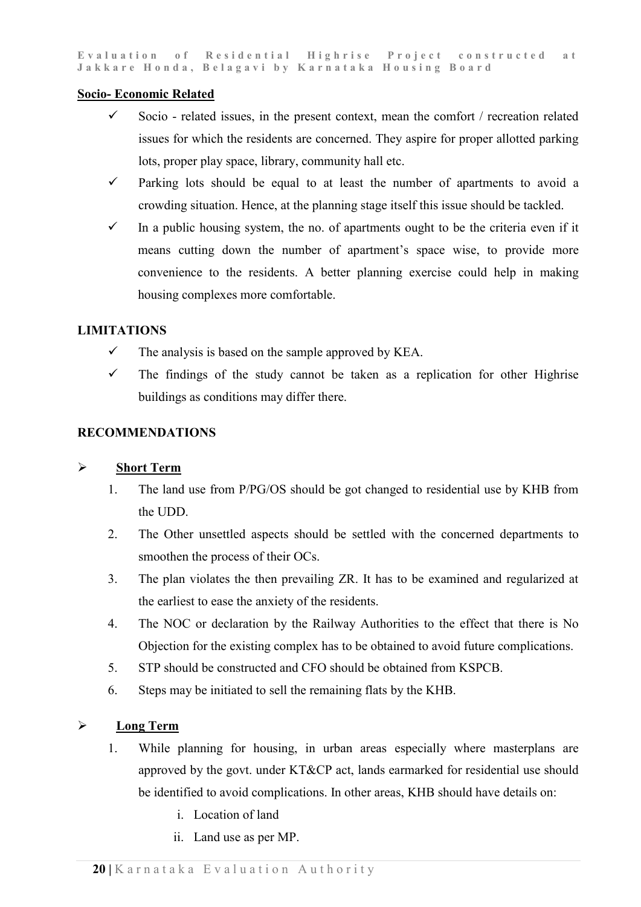#### **Socio- Economic Related**

- $\checkmark$  Socio related issues, in the present context, mean the comfort / recreation related issues for which the residents are concerned. They aspire for proper allotted parking lots, proper play space, library, community hall etc.
- $\checkmark$  Parking lots should be equal to at least the number of apartments to avoid a crowding situation. Hence, at the planning stage itself this issue should be tackled.
- $\checkmark$  In a public housing system, the no. of apartments ought to be the criteria even if it means cutting down the number of apartment's space wise, to provide more convenience to the residents. A better planning exercise could help in making housing complexes more comfortable.

#### **LIMITATIONS**

- $\checkmark$  The analysis is based on the sample approved by KEA.
- $\checkmark$  The findings of the study cannot be taken as a replication for other Highrise buildings as conditions may differ there.

### **RECOMMENDATIONS**

# **Short Term**

- 1. The land use from P/PG/OS should be got changed to residential use by KHB from the UDD.
- 2. The Other unsettled aspects should be settled with the concerned departments to smoothen the process of their OCs.
- 3. The plan violates the then prevailing ZR. It has to be examined and regularized at the earliest to ease the anxiety of the residents.
- 4. The NOC or declaration by the Railway Authorities to the effect that there is No Objection for the existing complex has to be obtained to avoid future complications.
- 5. STP should be constructed and CFO should be obtained from KSPCB.
- 6. Steps may be initiated to sell the remaining flats by the KHB.

# **Long Term**

- 1. While planning for housing, in urban areas especially where masterplans are approved by the govt. under KT&CP act, lands earmarked for residential use should be identified to avoid complications. In other areas, KHB should have details on:
	- i. Location of land
	- ii. Land use as per MP.